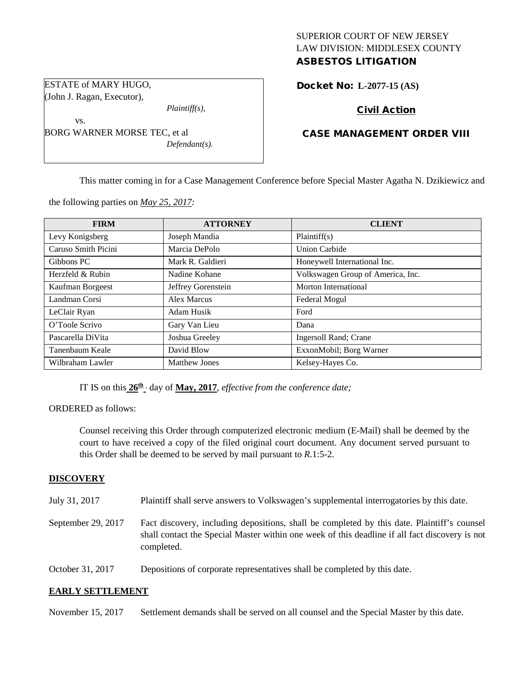# SUPERIOR COURT OF NEW JERSEY LAW DIVISION: MIDDLESEX COUNTY ASBESTOS LITIGATION

Docket No: **L-2077-15 (AS)** 

# Civil Action

# CASE MANAGEMENT ORDER VIII

This matter coming in for a Case Management Conference before Special Master Agatha N. Dzikiewicz and

the following parties on *May 25, 2017:*

| <b>FIRM</b>         | <b>ATTORNEY</b>      | <b>CLIENT</b>                     |
|---------------------|----------------------|-----------------------------------|
| Levy Konigsberg     | Joseph Mandia        | Plaintiff(s)                      |
| Caruso Smith Picini | Marcia DePolo        | <b>Union Carbide</b>              |
| Gibbons PC          | Mark R. Galdieri     | Honeywell International Inc.      |
| Herzfeld & Rubin    | Nadine Kohane        | Volkswagen Group of America, Inc. |
| Kaufman Borgeest    | Jeffrey Gorenstein   | Morton International              |
| Landman Corsi       | Alex Marcus          | Federal Mogul                     |
| LeClair Ryan        | Adam Husik           | Ford                              |
| O'Toole Scrivo      | Gary Van Lieu        | Dana                              |
| Pascarella DiVita   | Joshua Greeley       | Ingersoll Rand; Crane             |
| Tanenbaum Keale     | David Blow           | ExxonMobil; Borg Warner           |
| Wilbraham Lawler    | <b>Matthew Jones</b> | Kelsey-Hayes Co.                  |

IT IS on this  $26^{\text{th}}$  day of May, 2017, *effective from the conference date;* 

ORDERED as follows:

Counsel receiving this Order through computerized electronic medium (E-Mail) shall be deemed by the court to have received a copy of the filed original court document. Any document served pursuant to this Order shall be deemed to be served by mail pursuant to *R*.1:5-2.

## **DISCOVERY**

July 31, 2017 Plaintiff shall serve answers to Volkswagen's supplemental interrogatories by this date.

September 29, 2017 Fact discovery, including depositions, shall be completed by this date. Plaintiff's counsel shall contact the Special Master within one week of this deadline if all fact discovery is not completed.

October 31, 2017 Depositions of corporate representatives shall be completed by this date.

## **EARLY SETTLEMENT**

November 15, 2017 Settlement demands shall be served on all counsel and the Special Master by this date.

ESTATE of MARY HUGO, (John J. Ragan, Executor),

*Plaintiff(s),*

*Defendant(s).*

BORG WARNER MORSE TEC, et al

vs.